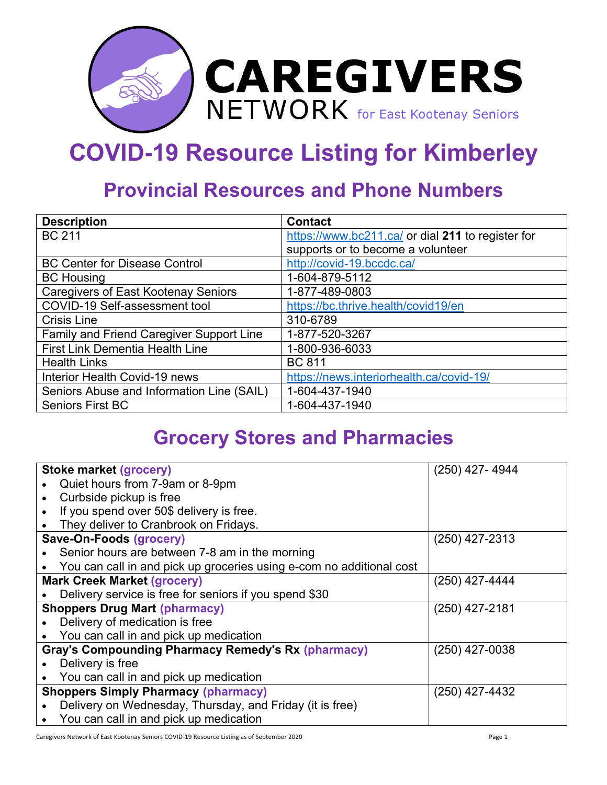

## **COVID-19 Resource Listing for Kimberley**

## **Provincial Resources and Phone Numbers**

| <b>Description</b>                         | <b>Contact</b>                                    |
|--------------------------------------------|---------------------------------------------------|
| <b>BC 211</b>                              | https://www.bc211.ca/ or dial 211 to register for |
|                                            | supports or to become a volunteer                 |
| <b>BC Center for Disease Control</b>       | http://covid-19.bccdc.ca/                         |
| <b>BC Housing</b>                          | 1-604-879-5112                                    |
| <b>Caregivers of East Kootenay Seniors</b> | 1-877-489-0803                                    |
| COVID-19 Self-assessment tool              | https://bc.thrive.health/covid19/en               |
| <b>Crisis Line</b>                         | 310-6789                                          |
| Family and Friend Caregiver Support Line   | 1-877-520-3267                                    |
| <b>First Link Dementia Health Line</b>     | 1-800-936-6033                                    |
| <b>Health Links</b>                        | <b>BC 811</b>                                     |
| Interior Health Covid-19 news              | https://news.interiorhealth.ca/covid-19/          |
| Seniors Abuse and Information Line (SAIL)  | 1-604-437-1940                                    |
| <b>Seniors First BC</b>                    | 1-604-437-1940                                    |

## **Grocery Stores and Pharmacies**

|                                      | <b>Stoke market (grocery)</b>                                        | $(250)$ 427-4944 |  |
|--------------------------------------|----------------------------------------------------------------------|------------------|--|
|                                      | Quiet hours from 7-9am or 8-9pm                                      |                  |  |
|                                      | Curbside pickup is free                                              |                  |  |
|                                      | If you spend over 50\$ delivery is free.                             |                  |  |
|                                      | They deliver to Cranbrook on Fridays.                                |                  |  |
|                                      | Save-On-Foods (grocery)                                              | $(250)$ 427-2313 |  |
|                                      | Senior hours are between 7-8 am in the morning                       |                  |  |
|                                      | You can call in and pick up groceries using e-com no additional cost |                  |  |
|                                      | <b>Mark Creek Market (grocery)</b>                                   | $(250)$ 427-4444 |  |
|                                      | Delivery service is free for seniors if you spend \$30               |                  |  |
| <b>Shoppers Drug Mart (pharmacy)</b> |                                                                      | $(250)$ 427-2181 |  |
|                                      | Delivery of medication is free                                       |                  |  |
|                                      | You can call in and pick up medication                               |                  |  |
|                                      | <b>Gray's Compounding Pharmacy Remedy's Rx (pharmacy)</b>            | $(250)$ 427-0038 |  |
|                                      | Delivery is free                                                     |                  |  |
|                                      | You can call in and pick up medication                               |                  |  |
|                                      | <b>Shoppers Simply Pharmacy (pharmacy)</b>                           | $(250)$ 427-4432 |  |
|                                      | Delivery on Wednesday, Thursday, and Friday (it is free)             |                  |  |
|                                      | You can call in and pick up medication                               |                  |  |

Caregivers Network of East Kootenay Seniors COVID-19 Resource Listing as of September 2020 Page 1